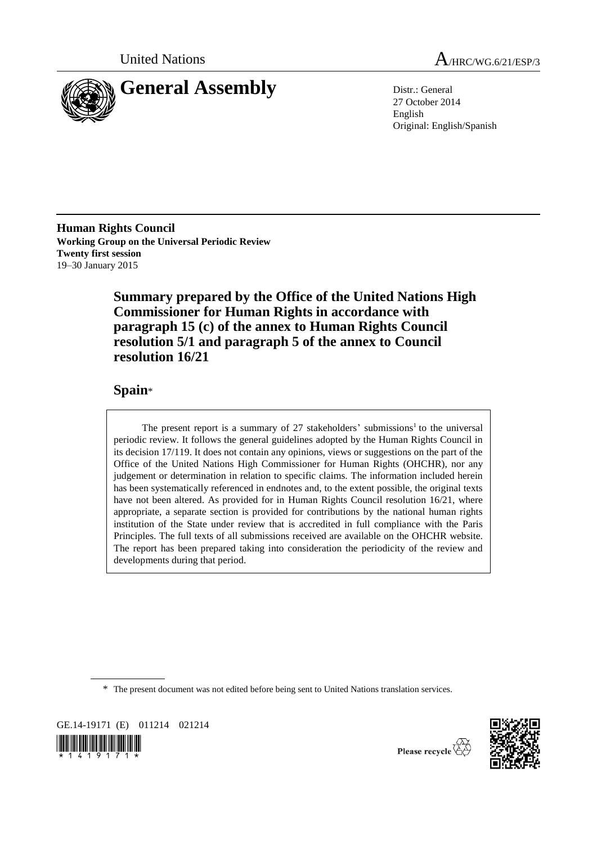

United Nations A/HRC/WG.6/21/ESP/3

27 October 2014 English Original: English/Spanish

**Human Rights Council Working Group on the Universal Periodic Review Twenty first session** 19–30 January 2015

> **Summary prepared by the Office of the United Nations High Commissioner for Human Rights in accordance with paragraph 15 (c) of the annex to Human Rights Council resolution 5/1 and paragraph 5 of the annex to Council resolution 16/21**

# **Spain**\*

The present report is a summary of  $27$  stakeholders' submissions<sup>1</sup> to the universal periodic review. It follows the general guidelines adopted by the Human Rights Council in its decision 17/119. It does not contain any opinions, views or suggestions on the part of the Office of the United Nations High Commissioner for Human Rights (OHCHR), nor any judgement or determination in relation to specific claims. The information included herein has been systematically referenced in endnotes and, to the extent possible, the original texts have not been altered. As provided for in Human Rights Council resolution 16/21, where appropriate, a separate section is provided for contributions by the national human rights institution of the State under review that is accredited in full compliance with the Paris Principles. The full texts of all submissions received are available on the OHCHR website. The report has been prepared taking into consideration the periodicity of the review and developments during that period.

\* The present document was not edited before being sent to United Nations translation services.

GE.14-19171 (E) 011214 021214  $\left\| \prod_{\mathbf{x}} \prod_{i=1}^n \prod_{j=1}^n \prod_{j=1}^n \prod_{j=1}^n \prod_{j=1}^n \prod_{j=1}^n \prod_{j=1}^n \prod_{j=1}^n \prod_{j=1}^n \prod_{j=1}^n \prod_{j=1}^n \prod_{j=1}^n \prod_{j=1}^n \prod_{j=1}^n \prod_{j=1}^n \prod_{j=1}^n \prod_{j=1}^n \prod_{j=1}^n \prod_{j=1}^n \prod_{j=1}^n \prod_{j=1}^n \prod_{j=1}^n \prod_{j=1}^n \$ 



Please recycle  $\mathbb{Z}$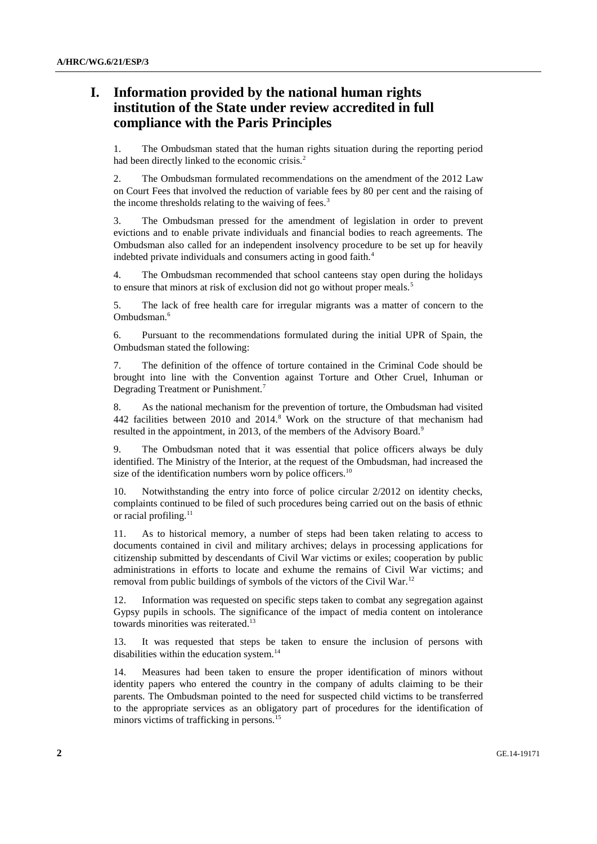# **I. Information provided by the national human rights institution of the State under review accredited in full compliance with the Paris Principles**

1. The Ombudsman stated that the human rights situation during the reporting period had been directly linked to the economic crisis.<sup>2</sup>

2. The Ombudsman formulated recommendations on the amendment of the 2012 Law on Court Fees that involved the reduction of variable fees by 80 per cent and the raising of the income thresholds relating to the waiving of fees.<sup>3</sup>

3. The Ombudsman pressed for the amendment of legislation in order to prevent evictions and to enable private individuals and financial bodies to reach agreements. The Ombudsman also called for an independent insolvency procedure to be set up for heavily indebted private individuals and consumers acting in good faith.<sup>4</sup>

4. The Ombudsman recommended that school canteens stay open during the holidays to ensure that minors at risk of exclusion did not go without proper meals.<sup>5</sup>

5. The lack of free health care for irregular migrants was a matter of concern to the Ombudsman.<sup>6</sup>

6. Pursuant to the recommendations formulated during the initial UPR of Spain, the Ombudsman stated the following:

7. The definition of the offence of torture contained in the Criminal Code should be brought into line with the Convention against Torture and Other Cruel, Inhuman or Degrading Treatment or Punishment.<sup>7</sup>

8. As the national mechanism for the prevention of torture, the Ombudsman had visited 442 facilities between 2010 and 2014.<sup>8</sup> Work on the structure of that mechanism had resulted in the appointment, in 2013, of the members of the Advisory Board.<sup>9</sup>

9. The Ombudsman noted that it was essential that police officers always be duly identified. The Ministry of the Interior, at the request of the Ombudsman, had increased the size of the identification numbers worn by police officers.<sup>10</sup>

10. Notwithstanding the entry into force of police circular 2/2012 on identity checks, complaints continued to be filed of such procedures being carried out on the basis of ethnic or racial profiling.<sup>11</sup>

11. As to historical memory, a number of steps had been taken relating to access to documents contained in civil and military archives; delays in processing applications for citizenship submitted by descendants of Civil War victims or exiles; cooperation by public administrations in efforts to locate and exhume the remains of Civil War victims; and removal from public buildings of symbols of the victors of the Civil War.<sup>12</sup>

12. Information was requested on specific steps taken to combat any segregation against Gypsy pupils in schools. The significance of the impact of media content on intolerance towards minorities was reiterated.<sup>13</sup>

13. It was requested that steps be taken to ensure the inclusion of persons with disabilities within the education system.<sup>14</sup>

14. Measures had been taken to ensure the proper identification of minors without identity papers who entered the country in the company of adults claiming to be their parents. The Ombudsman pointed to the need for suspected child victims to be transferred to the appropriate services as an obligatory part of procedures for the identification of minors victims of trafficking in persons.<sup>15</sup>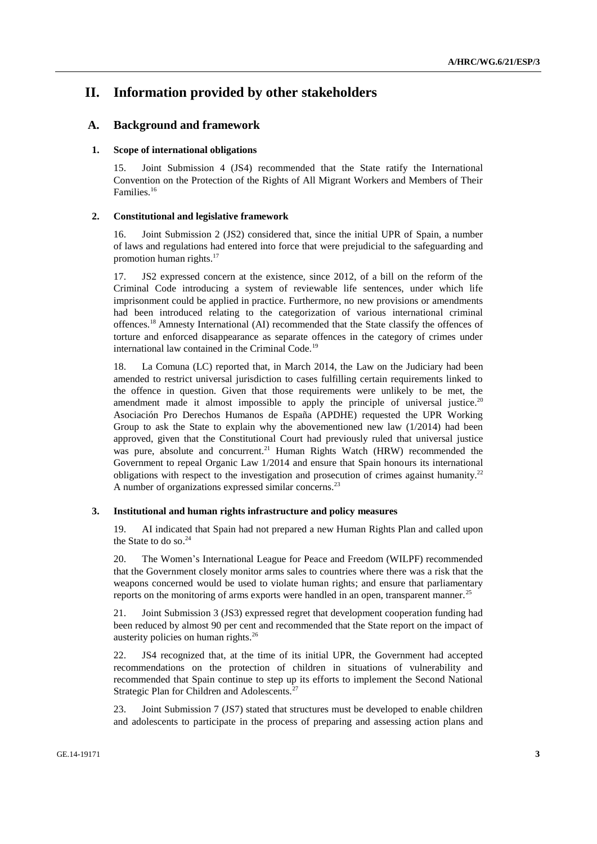# **II. Information provided by other stakeholders**

# **A. Background and framework**

### **1. Scope of international obligations**

15. Joint Submission 4 (JS4) recommended that the State ratify the International Convention on the Protection of the Rights of All Migrant Workers and Members of Their Families.<sup>16</sup>

### **2. Constitutional and legislative framework**

16. Joint Submission 2 (JS2) considered that, since the initial UPR of Spain, a number of laws and regulations had entered into force that were prejudicial to the safeguarding and promotion human rights.<sup>17</sup>

17. JS2 expressed concern at the existence, since 2012, of a bill on the reform of the Criminal Code introducing a system of reviewable life sentences, under which life imprisonment could be applied in practice. Furthermore, no new provisions or amendments had been introduced relating to the categorization of various international criminal offences.<sup>18</sup> Amnesty International (AI) recommended that the State classify the offences of torture and enforced disappearance as separate offences in the category of crimes under international law contained in the Criminal Code.<sup>19</sup>

18. La Comuna (LC) reported that, in March 2014, the Law on the Judiciary had been amended to restrict universal jurisdiction to cases fulfilling certain requirements linked to the offence in question. Given that those requirements were unlikely to be met, the amendment made it almost impossible to apply the principle of universal justice.<sup>20</sup> Asociación Pro Derechos Humanos de España (APDHE) requested the UPR Working Group to ask the State to explain why the abovementioned new law  $(1/2014)$  had been approved, given that the Constitutional Court had previously ruled that universal justice was pure, absolute and concurrent.<sup>21</sup> Human Rights Watch (HRW) recommended the Government to repeal Organic Law 1/2014 and ensure that Spain honours its international obligations with respect to the investigation and prosecution of crimes against humanity.<sup>22</sup> A number of organizations expressed similar concerns.<sup>23</sup>

### **3. Institutional and human rights infrastructure and policy measures**

19. AI indicated that Spain had not prepared a new Human Rights Plan and called upon the State to do so. 24

20. The Women's International League for Peace and Freedom (WILPF) recommended that the Government closely monitor arms sales to countries where there was a risk that the weapons concerned would be used to violate human rights; and ensure that parliamentary reports on the monitoring of arms exports were handled in an open, transparent manner.<sup>25</sup>

21. Joint Submission 3 (JS3) expressed regret that development cooperation funding had been reduced by almost 90 per cent and recommended that the State report on the impact of austerity policies on human rights.<sup>26</sup>

22. JS4 recognized that, at the time of its initial UPR, the Government had accepted recommendations on the protection of children in situations of vulnerability and recommended that Spain continue to step up its efforts to implement the Second National Strategic Plan for Children and Adolescents.<sup>27</sup>

23. Joint Submission 7 (JS7) stated that structures must be developed to enable children and adolescents to participate in the process of preparing and assessing action plans and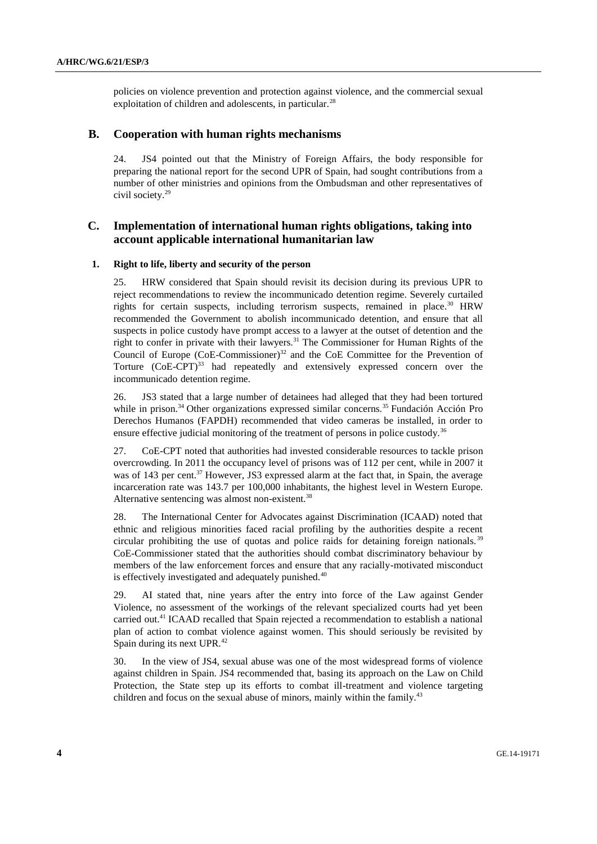policies on violence prevention and protection against violence, and the commercial sexual exploitation of children and adolescents, in particular.<sup>28</sup>

# **B. Cooperation with human rights mechanisms**

24. JS4 pointed out that the Ministry of Foreign Affairs, the body responsible for preparing the national report for the second UPR of Spain, had sought contributions from a number of other ministries and opinions from the Ombudsman and other representatives of civil society.<sup>29</sup>

# **C. Implementation of international human rights obligations, taking into account applicable international humanitarian law**

#### **1. Right to life, liberty and security of the person**

25. HRW considered that Spain should revisit its decision during its previous UPR to reject recommendations to review the incommunicado detention regime. Severely curtailed rights for certain suspects, including terrorism suspects, remained in place.<sup>30</sup> HRW recommended the Government to abolish incommunicado detention, and ensure that all suspects in police custody have prompt access to a lawyer at the outset of detention and the right to confer in private with their lawyers.<sup>31</sup> The Commissioner for Human Rights of the Council of Europe  $(CoE$ -Commissioner)<sup>32</sup> and the CoE Committee for the Prevention of Torture  $(CoE-CPT)^{33}$  had repeatedly and extensively expressed concern over the incommunicado detention regime.

26. JS3 stated that a large number of detainees had alleged that they had been tortured while in prison.<sup>34</sup> Other organizations expressed similar concerns.<sup>35</sup> Fundación Acción Pro Derechos Humanos (FAPDH) recommended that video cameras be installed, in order to ensure effective judicial monitoring of the treatment of persons in police custody.<sup>36</sup>

27. CoE-CPT noted that authorities had invested considerable resources to tackle prison overcrowding. In 2011 the occupancy level of prisons was of 112 per cent, while in 2007 it was of 143 per cent.<sup>37</sup> However, JS3 expressed alarm at the fact that, in Spain, the average incarceration rate was 143.7 per 100,000 inhabitants, the highest level in Western Europe. Alternative sentencing was almost non-existent.<sup>38</sup>

28. The International Center for Advocates against Discrimination (ICAAD) noted that ethnic and religious minorities faced racial profiling by the authorities despite a recent circular prohibiting the use of quotas and police raids for detaining foreign nationals. <sup>39</sup> CoE-Commissioner stated that the authorities should combat discriminatory behaviour by members of the law enforcement forces and ensure that any racially-motivated misconduct is effectively investigated and adequately punished.<sup>40</sup>

29. AI stated that, nine years after the entry into force of the Law against Gender Violence, no assessment of the workings of the relevant specialized courts had yet been carried out.<sup>41</sup> ICAAD recalled that Spain rejected a recommendation to establish a national plan of action to combat violence against women. This should seriously be revisited by Spain during its next UPR.<sup>42</sup>

30. In the view of JS4, sexual abuse was one of the most widespread forms of violence against children in Spain. JS4 recommended that, basing its approach on the Law on Child Protection, the State step up its efforts to combat ill-treatment and violence targeting children and focus on the sexual abuse of minors, mainly within the family.<sup>43</sup>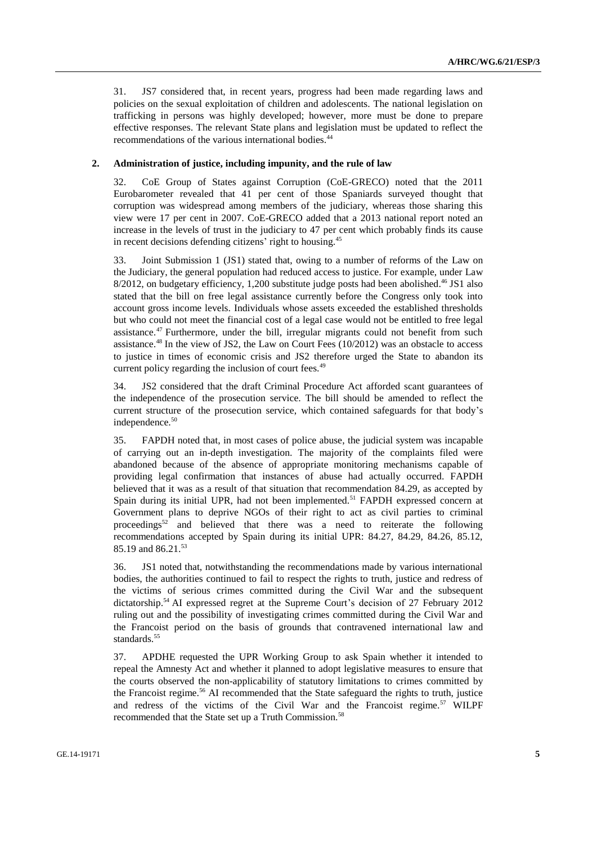31. JS7 considered that, in recent years, progress had been made regarding laws and policies on the sexual exploitation of children and adolescents. The national legislation on trafficking in persons was highly developed; however, more must be done to prepare effective responses. The relevant State plans and legislation must be updated to reflect the recommendations of the various international bodies.<sup>44</sup>

# **2. Administration of justice, including impunity, and the rule of law**

32. CoE Group of States against Corruption (CoE-GRECO) noted that the 2011 Eurobarometer revealed that 41 per cent of those Spaniards surveyed thought that corruption was widespread among members of the judiciary, whereas those sharing this view were 17 per cent in 2007. CoE-GRECO added that a 2013 national report noted an increase in the levels of trust in the judiciary to 47 per cent which probably finds its cause in recent decisions defending citizens' right to housing.<sup>45</sup>

33. Joint Submission 1 (JS1) stated that, owing to a number of reforms of the Law on the Judiciary, the general population had reduced access to justice. For example, under Law 8/2012, on budgetary efficiency, 1,200 substitute judge posts had been abolished. <sup>46</sup> JS1 also stated that the bill on free legal assistance currently before the Congress only took into account gross income levels. Individuals whose assets exceeded the established thresholds but who could not meet the financial cost of a legal case would not be entitled to free legal assistance.<sup>47</sup> Furthermore, under the bill, irregular migrants could not benefit from such assistance.<sup>48</sup> In the view of JS2, the Law on Court Fees  $(10/2012)$  was an obstacle to access to justice in times of economic crisis and JS2 therefore urged the State to abandon its current policy regarding the inclusion of court fees.<sup>49</sup>

34. JS2 considered that the draft Criminal Procedure Act afforded scant guarantees of the independence of the prosecution service. The bill should be amended to reflect the current structure of the prosecution service, which contained safeguards for that body's independence.<sup>50</sup>

35. FAPDH noted that, in most cases of police abuse, the judicial system was incapable of carrying out an in-depth investigation. The majority of the complaints filed were abandoned because of the absence of appropriate monitoring mechanisms capable of providing legal confirmation that instances of abuse had actually occurred. FAPDH believed that it was as a result of that situation that recommendation 84.29, as accepted by Spain during its initial UPR, had not been implemented.<sup>51</sup> FAPDH expressed concern at Government plans to deprive NGOs of their right to act as civil parties to criminal proceedings<sup>52</sup> and believed that there was a need to reiterate the following recommendations accepted by Spain during its initial UPR: 84.27, 84.29, 84.26, 85.12, 85.19 and 86.21.<sup>53</sup>

36. JS1 noted that, notwithstanding the recommendations made by various international bodies, the authorities continued to fail to respect the rights to truth, justice and redress of the victims of serious crimes committed during the Civil War and the subsequent dictatorship. <sup>54</sup> AI expressed regret at the Supreme Court's decision of 27 February 2012 ruling out and the possibility of investigating crimes committed during the Civil War and the Francoist period on the basis of grounds that contravened international law and standards. 55

37. APDHE requested the UPR Working Group to ask Spain whether it intended to repeal the Amnesty Act and whether it planned to adopt legislative measures to ensure that the courts observed the non-applicability of statutory limitations to crimes committed by the Francoist regime.<sup>56</sup> AI recommended that the State safeguard the rights to truth, justice and redress of the victims of the Civil War and the Francoist regime.<sup>57</sup> WILPF recommended that the State set up a Truth Commission.<sup>58</sup>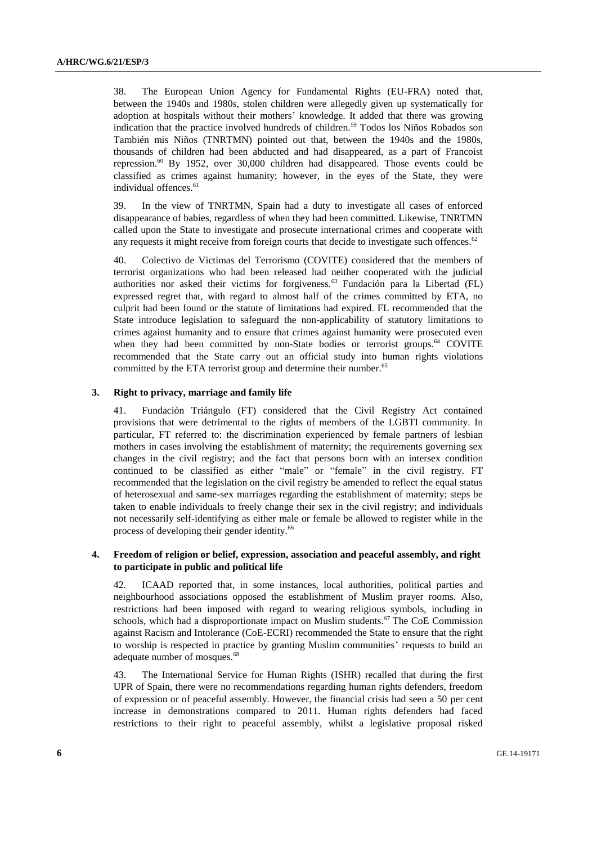38. The European Union Agency for Fundamental Rights (EU-FRA) noted that, between the 1940s and 1980s, stolen children were allegedly given up systematically for adoption at hospitals without their mothers' knowledge. It added that there was growing indication that the practice involved hundreds of children.<sup>59</sup> Todos los Niños Robados son También mis Niños (TNRTMN) pointed out that, between the 1940s and the 1980s, thousands of children had been abducted and had disappeared, as a part of Francoist repression.<sup>60</sup> By 1952, over 30,000 children had disappeared. Those events could be classified as crimes against humanity; however, in the eyes of the State, they were individual offences.<sup>61</sup>

39. In the view of TNRTMN, Spain had a duty to investigate all cases of enforced disappearance of babies, regardless of when they had been committed. Likewise, TNRTMN called upon the State to investigate and prosecute international crimes and cooperate with any requests it might receive from foreign courts that decide to investigate such offences.<sup>62</sup>

40. Colectivo de Victimas del Terrorismo (COVITE) considered that the members of terrorist organizations who had been released had neither cooperated with the judicial authorities nor asked their victims for forgiveness.<sup>63</sup> Fundación para la Libertad (FL) expressed regret that, with regard to almost half of the crimes committed by ETA, no culprit had been found or the statute of limitations had expired. FL recommended that the State introduce legislation to safeguard the non-applicability of statutory limitations to crimes against humanity and to ensure that crimes against humanity were prosecuted even when they had been committed by non-State bodies or terrorist groups.<sup>64</sup> COVITE recommended that the State carry out an official study into human rights violations committed by the ETA terrorist group and determine their number.<sup>65</sup>

## **3. Right to privacy, marriage and family life**

41. Fundación Triángulo (FT) considered that the Civil Registry Act contained provisions that were detrimental to the rights of members of the LGBTI community. In particular, FT referred to: the discrimination experienced by female partners of lesbian mothers in cases involving the establishment of maternity; the requirements governing sex changes in the civil registry; and the fact that persons born with an intersex condition continued to be classified as either "male" or "female" in the civil registry. FT recommended that the legislation on the civil registry be amended to reflect the equal status of heterosexual and same-sex marriages regarding the establishment of maternity; steps be taken to enable individuals to freely change their sex in the civil registry; and individuals not necessarily self-identifying as either male or female be allowed to register while in the process of developing their gender identity.<sup>66</sup>

# **4. Freedom of religion or belief, expression, association and peaceful assembly, and right to participate in public and political life**

42. ICAAD reported that, in some instances, local authorities, political parties and neighbourhood associations opposed the establishment of Muslim prayer rooms. Also, restrictions had been imposed with regard to wearing religious symbols, including in schools, which had a disproportionate impact on Muslim students.<sup>67</sup> The CoE Commission against Racism and Intolerance (CoE-ECRI) recommended the State to ensure that the right to worship is respected in practice by granting Muslim communities' requests to build an adequate number of mosques.<sup>68</sup>

43. The International Service for Human Rights (ISHR) recalled that during the first UPR of Spain, there were no recommendations regarding human rights defenders, freedom of expression or of peaceful assembly. However, the financial crisis had seen a 50 per cent increase in demonstrations compared to 2011. Human rights defenders had faced restrictions to their right to peaceful assembly, whilst a legislative proposal risked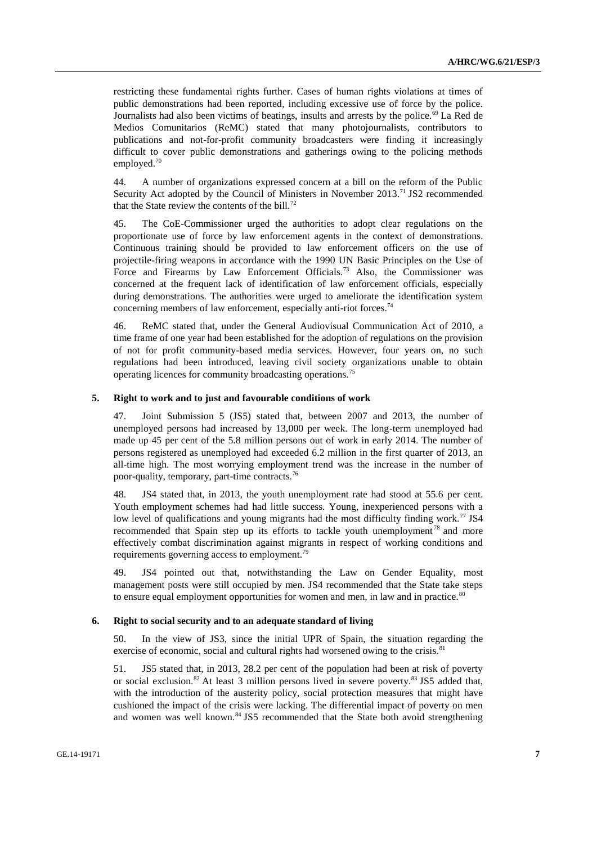restricting these fundamental rights further. Cases of human rights violations at times of public demonstrations had been reported, including excessive use of force by the police. Journalists had also been victims of beatings, insults and arrests by the police.<sup>69</sup> La Red de Medios Comunitarios (ReMC) stated that many photojournalists, contributors to publications and not-for-profit community broadcasters were finding it increasingly difficult to cover public demonstrations and gatherings owing to the policing methods employed.<sup>70</sup>

44. A number of organizations expressed concern at a bill on the reform of the Public Security Act adopted by the Council of Ministers in November 2013.<sup>71</sup> JS2 recommended that the State review the contents of the bill.<sup>72</sup>

45. The CoE-Commissioner urged the authorities to adopt clear regulations on the proportionate use of force by law enforcement agents in the context of demonstrations. Continuous training should be provided to law enforcement officers on the use of projectile-firing weapons in accordance with the 1990 UN Basic Principles on the Use of Force and Firearms by Law Enforcement Officials.<sup>73</sup> Also, the Commissioner was concerned at the frequent lack of identification of law enforcement officials, especially during demonstrations. The authorities were urged to ameliorate the identification system concerning members of law enforcement, especially anti-riot forces.<sup>74</sup>

46. ReMC stated that, under the General Audiovisual Communication Act of 2010, a time frame of one year had been established for the adoption of regulations on the provision of not for profit community-based media services. However, four years on, no such regulations had been introduced, leaving civil society organizations unable to obtain operating licences for community broadcasting operations.<sup>75</sup>

#### **5. Right to work and to just and favourable conditions of work**

47. Joint Submission 5 (JS5) stated that, between 2007 and 2013, the number of unemployed persons had increased by 13,000 per week. The long-term unemployed had made up 45 per cent of the 5.8 million persons out of work in early 2014. The number of persons registered as unemployed had exceeded 6.2 million in the first quarter of 2013, an all-time high. The most worrying employment trend was the increase in the number of poor-quality, temporary, part-time contracts.<sup>76</sup>

48. JS4 stated that, in 2013, the youth unemployment rate had stood at 55.6 per cent. Youth employment schemes had had little success. Young, inexperienced persons with a low level of qualifications and young migrants had the most difficulty finding work.<sup>77</sup> JS4 recommended that Spain step up its efforts to tackle youth unemployment<sup>78</sup> and more effectively combat discrimination against migrants in respect of working conditions and requirements governing access to employment.<sup>79</sup>

49. JS4 pointed out that, notwithstanding the Law on Gender Equality, most management posts were still occupied by men. JS4 recommended that the State take steps to ensure equal employment opportunities for women and men, in law and in practice.<sup>80</sup>

#### **6. Right to social security and to an adequate standard of living**

50. In the view of JS3, since the initial UPR of Spain, the situation regarding the exercise of economic, social and cultural rights had worsened owing to the crisis.<sup>81</sup>

51. JS5 stated that, in 2013, 28.2 per cent of the population had been at risk of poverty or social exclusion.<sup>82</sup> At least 3 million persons lived in severe poverty.<sup>83</sup> JS5 added that, with the introduction of the austerity policy, social protection measures that might have cushioned the impact of the crisis were lacking. The differential impact of poverty on men and women was well known.<sup>84</sup> JS5 recommended that the State both avoid strengthening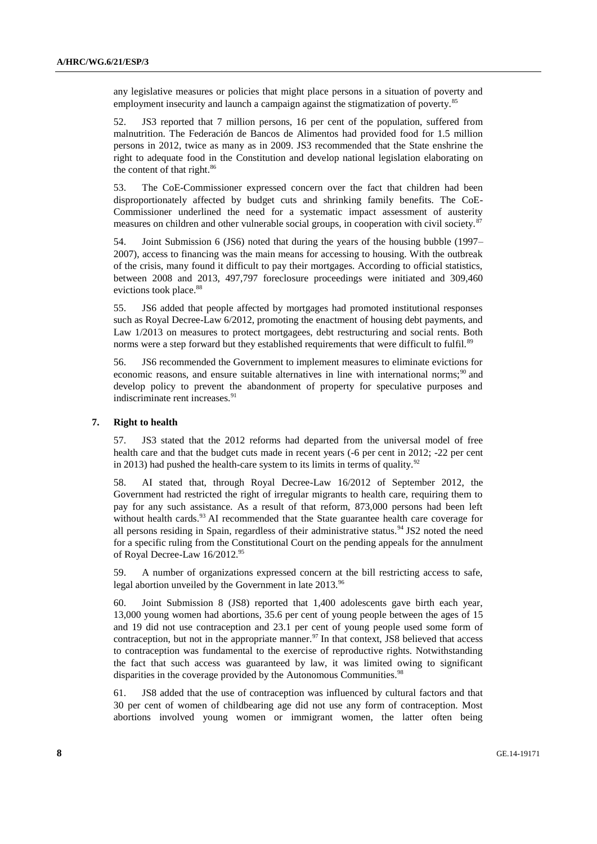any legislative measures or policies that might place persons in a situation of poverty and employment insecurity and launch a campaign against the stigmatization of poverty.<sup>85</sup>

52. JS3 reported that 7 million persons, 16 per cent of the population, suffered from malnutrition. The Federación de Bancos de Alimentos had provided food for 1.5 million persons in 2012, twice as many as in 2009. JS3 recommended that the State enshrine the right to adequate food in the Constitution and develop national legislation elaborating on the content of that right. 86

53. The CoE-Commissioner expressed concern over the fact that children had been disproportionately affected by budget cuts and shrinking family benefits. The CoE-Commissioner underlined the need for a systematic impact assessment of austerity measures on children and other vulnerable social groups, in cooperation with civil society.<sup>87</sup>

54. Joint Submission 6 (JS6) noted that during the years of the housing bubble (1997– 2007), access to financing was the main means for accessing to housing. With the outbreak of the crisis, many found it difficult to pay their mortgages. According to official statistics, between 2008 and 2013, 497,797 foreclosure proceedings were initiated and 309,460 evictions took place.<sup>88</sup>

55. JS6 added that people affected by mortgages had promoted institutional responses such as Royal Decree-Law 6/2012, promoting the enactment of housing debt payments, and Law 1/2013 on measures to protect mortgagees, debt restructuring and social rents. Both norms were a step forward but they established requirements that were difficult to fulfil.<sup>89</sup>

56. JS6 recommended the Government to implement measures to eliminate evictions for economic reasons, and ensure suitable alternatives in line with international norms; $90$  and develop policy to prevent the abandonment of property for speculative purposes and indiscriminate rent increases.<sup>91</sup>

### **7. Right to health**

57. JS3 stated that the 2012 reforms had departed from the universal model of free health care and that the budget cuts made in recent years (-6 per cent in 2012; -22 per cent in 2013) had pushed the health-care system to its limits in terms of quality.<sup>92</sup>

58. AI stated that, through Royal Decree-Law 16/2012 of September 2012, the Government had restricted the right of irregular migrants to health care, requiring them to pay for any such assistance. As a result of that reform, 873,000 persons had been left without health cards.<sup>93</sup> AI recommended that the State guarantee health care coverage for all persons residing in Spain, regardless of their administrative status. $94$  JS2 noted the need for a specific ruling from the Constitutional Court on the pending appeals for the annulment of Royal Decree-Law 16/2012.95

59. A number of organizations expressed concern at the bill restricting access to safe, legal abortion unveiled by the Government in late 2013.<sup>96</sup>

60. Joint Submission 8 (JS8) reported that 1,400 adolescents gave birth each year, 13,000 young women had abortions, 35.6 per cent of young people between the ages of 15 and 19 did not use contraception and 23.1 per cent of young people used some form of contraception, but not in the appropriate manner. $97$  In that context, JS8 believed that access to contraception was fundamental to the exercise of reproductive rights. Notwithstanding the fact that such access was guaranteed by law, it was limited owing to significant disparities in the coverage provided by the Autonomous Communities.<sup>98</sup>

61. JS8 added that the use of contraception was influenced by cultural factors and that 30 per cent of women of childbearing age did not use any form of contraception. Most abortions involved young women or immigrant women, the latter often being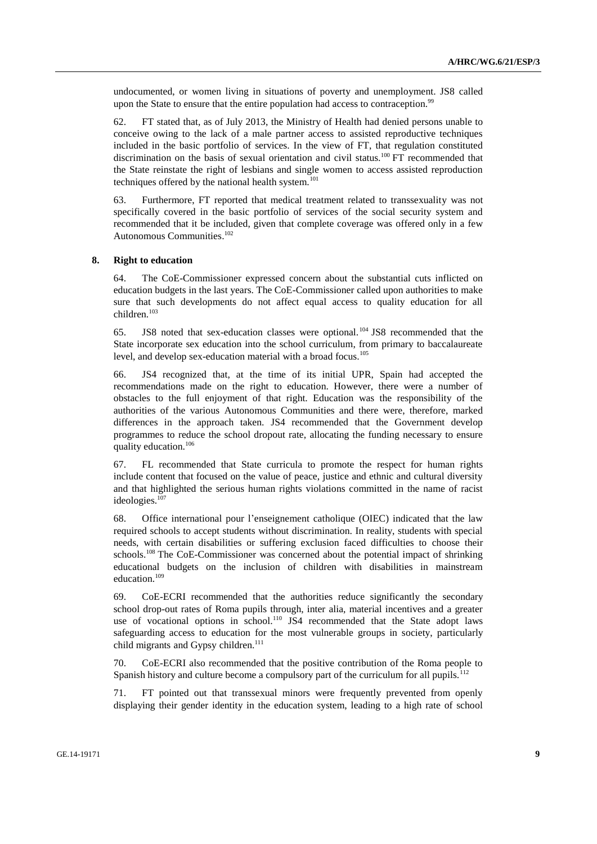undocumented, or women living in situations of poverty and unemployment. JS8 called upon the State to ensure that the entire population had access to contraception.<sup>99</sup>

62. FT stated that, as of July 2013, the Ministry of Health had denied persons unable to conceive owing to the lack of a male partner access to assisted reproductive techniques included in the basic portfolio of services. In the view of FT, that regulation constituted discrimination on the basis of sexual orientation and civil status.<sup>100</sup> FT recommended that the State reinstate the right of lesbians and single women to access assisted reproduction techniques offered by the national health system.<sup>101</sup>

63. Furthermore, FT reported that medical treatment related to transsexuality was not specifically covered in the basic portfolio of services of the social security system and recommended that it be included, given that complete coverage was offered only in a few Autonomous Communities. 102

#### **8. Right to education**

64. The CoE-Commissioner expressed concern about the substantial cuts inflicted on education budgets in the last years. The CoE-Commissioner called upon authorities to make sure that such developments do not affect equal access to quality education for all children.<sup>103</sup>

65. JS8 noted that sex-education classes were optional. <sup>104</sup> JS8 recommended that the State incorporate sex education into the school curriculum, from primary to baccalaureate level, and develop sex-education material with a broad focus.<sup>105</sup>

66. JS4 recognized that, at the time of its initial UPR, Spain had accepted the recommendations made on the right to education. However, there were a number of obstacles to the full enjoyment of that right. Education was the responsibility of the authorities of the various Autonomous Communities and there were, therefore, marked differences in the approach taken. JS4 recommended that the Government develop programmes to reduce the school dropout rate, allocating the funding necessary to ensure quality education.<sup>106</sup>

67. FL recommended that State curricula to promote the respect for human rights include content that focused on the value of peace, justice and ethnic and cultural diversity and that highlighted the serious human rights violations committed in the name of racist ideologies.<sup>107</sup>

68. Office international pour l'enseignement catholique (OIEC) indicated that the law required schools to accept students without discrimination. In reality, students with special needs, with certain disabilities or suffering exclusion faced difficulties to choose their schools.<sup>108</sup> The CoE-Commissioner was concerned about the potential impact of shrinking educational budgets on the inclusion of children with disabilities in mainstream education.<sup>109</sup>

69. CoE-ECRI recommended that the authorities reduce significantly the secondary school drop-out rates of Roma pupils through, inter alia, material incentives and a greater use of vocational options in school.<sup>110</sup> JS4 recommended that the State adopt laws safeguarding access to education for the most vulnerable groups in society, particularly child migrants and Gypsy children.<sup>111</sup>

70. CoE-ECRI also recommended that the positive contribution of the Roma people to Spanish history and culture become a compulsory part of the curriculum for all pupils.<sup>112</sup>

71. FT pointed out that transsexual minors were frequently prevented from openly displaying their gender identity in the education system, leading to a high rate of school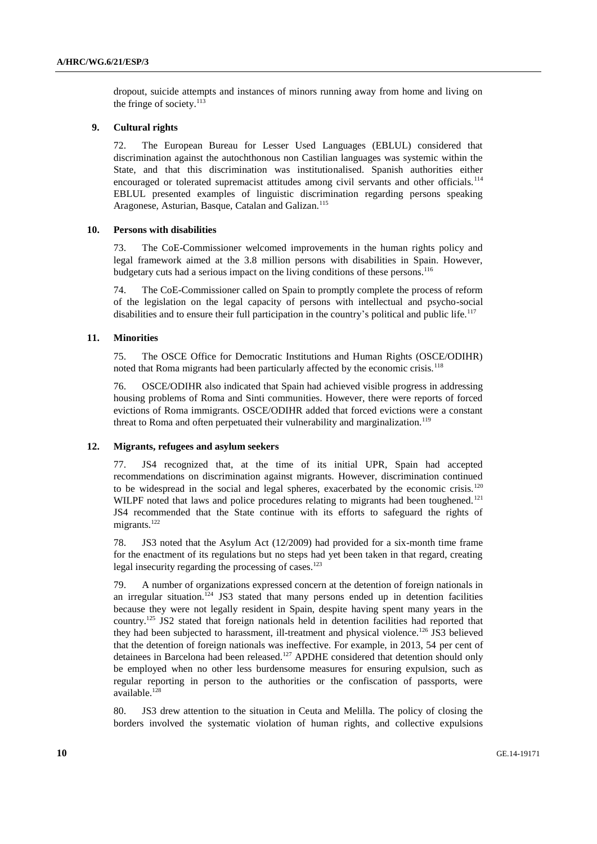dropout, suicide attempts and instances of minors running away from home and living on the fringe of society. $113$ 

# **9. Cultural rights**

72. The European Bureau for Lesser Used Languages (EBLUL) considered that discrimination against the autochthonous non Castilian languages was systemic within the State, and that this discrimination was institutionalised. Spanish authorities either encouraged or tolerated supremacist attitudes among civil servants and other officials.<sup>114</sup> EBLUL presented examples of linguistic discrimination regarding persons speaking Aragonese, Asturian, Basque, Catalan and Galizan.<sup>115</sup>

#### **10. Persons with disabilities**

73. The CoE-Commissioner welcomed improvements in the human rights policy and legal framework aimed at the 3.8 million persons with disabilities in Spain. However, budgetary cuts had a serious impact on the living conditions of these persons.<sup>116</sup>

74. The CoE-Commissioner called on Spain to promptly complete the process of reform of the legislation on the legal capacity of persons with intellectual and psycho-social disabilities and to ensure their full participation in the country's political and public life.<sup>117</sup>

#### **11. Minorities**

75. The OSCE Office for Democratic Institutions and Human Rights (OSCE/ODIHR) noted that Roma migrants had been particularly affected by the economic crisis.<sup>118</sup>

76. OSCE/ODIHR also indicated that Spain had achieved visible progress in addressing housing problems of Roma and Sinti communities. However, there were reports of forced evictions of Roma immigrants. OSCE/ODIHR added that forced evictions were a constant threat to Roma and often perpetuated their vulnerability and marginalization.<sup>119</sup>

# **12. Migrants, refugees and asylum seekers**

77. JS4 recognized that, at the time of its initial UPR, Spain had accepted recommendations on discrimination against migrants. However, discrimination continued to be widespread in the social and legal spheres, exacerbated by the economic crisis.<sup>120</sup> WILPF noted that laws and police procedures relating to migrants had been toughened.<sup>121</sup> JS4 recommended that the State continue with its efforts to safeguard the rights of migrants.<sup>122</sup>

78. JS3 noted that the Asylum Act (12/2009) had provided for a six-month time frame for the enactment of its regulations but no steps had yet been taken in that regard, creating legal insecurity regarding the processing of cases.<sup>123</sup>

79. A number of organizations expressed concern at the detention of foreign nationals in an irregular situation.<sup>124</sup> JS3 stated that many persons ended up in detention facilities because they were not legally resident in Spain, despite having spent many years in the country.<sup>125</sup> JS2 stated that foreign nationals held in detention facilities had reported that they had been subjected to harassment, ill-treatment and physical violence.<sup>126</sup> JS3 believed that the detention of foreign nationals was ineffective. For example, in 2013, 54 per cent of detainees in Barcelona had been released.<sup>127</sup> APDHE considered that detention should only be employed when no other less burdensome measures for ensuring expulsion, such as regular reporting in person to the authorities or the confiscation of passports, were available.<sup>128</sup>

80. JS3 drew attention to the situation in Ceuta and Melilla. The policy of closing the borders involved the systematic violation of human rights, and collective expulsions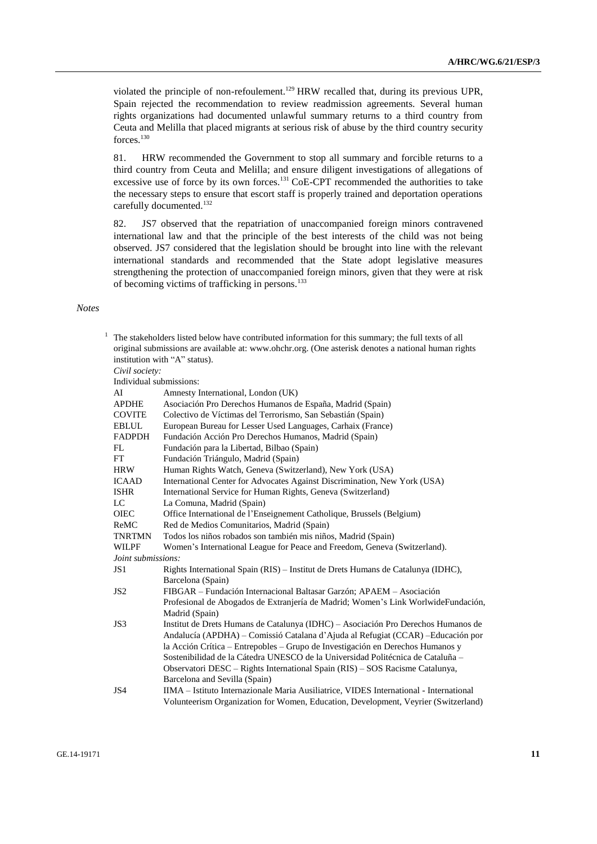violated the principle of non-refoulement.<sup>129</sup> HRW recalled that, during its previous UPR, Spain rejected the recommendation to review readmission agreements. Several human rights organizations had documented unlawful summary returns to a third country from Ceuta and Melilla that placed migrants at serious risk of abuse by the third country security forces.<sup>130</sup>

81. HRW recommended the Government to stop all summary and forcible returns to a third country from Ceuta and Melilla; and ensure diligent investigations of allegations of excessive use of force by its own forces.<sup>131</sup> CoE-CPT recommended the authorities to take the necessary steps to ensure that escort staff is properly trained and deportation operations carefully documented.<sup>132</sup>

82. JS7 observed that the repatriation of unaccompanied foreign minors contravened international law and that the principle of the best interests of the child was not being observed. JS7 considered that the legislation should be brought into line with the relevant international standards and recommended that the State adopt legislative measures strengthening the protection of unaccompanied foreign minors, given that they were at risk of becoming victims of trafficking in persons.<sup>133</sup>

### *Notes*

| The stakeholders listed below have contributed information for this summary; the full texts of all<br>original submissions are available at: www.ohchr.org. (One asterisk denotes a national human rights<br>institution with "A" status). |                         |                                                                                        |  |
|--------------------------------------------------------------------------------------------------------------------------------------------------------------------------------------------------------------------------------------------|-------------------------|----------------------------------------------------------------------------------------|--|
|                                                                                                                                                                                                                                            | Civil society:          |                                                                                        |  |
|                                                                                                                                                                                                                                            | Individual submissions: |                                                                                        |  |
|                                                                                                                                                                                                                                            | AI                      | Amnesty International, London (UK)                                                     |  |
|                                                                                                                                                                                                                                            | <b>APDHE</b>            | Asociación Pro Derechos Humanos de España, Madrid (Spain)                              |  |
|                                                                                                                                                                                                                                            | <b>COVITE</b>           | Colectivo de Víctimas del Terrorismo, San Sebastián (Spain)                            |  |
|                                                                                                                                                                                                                                            | <b>EBLUL</b>            | European Bureau for Lesser Used Languages, Carhaix (France)                            |  |
|                                                                                                                                                                                                                                            | <b>FADPDH</b>           | Fundación Acción Pro Derechos Humanos, Madrid (Spain)                                  |  |
|                                                                                                                                                                                                                                            | FL                      | Fundación para la Libertad, Bilbao (Spain)                                             |  |
|                                                                                                                                                                                                                                            | FT                      | Fundación Triángulo, Madrid (Spain)                                                    |  |
|                                                                                                                                                                                                                                            | <b>HRW</b>              | Human Rights Watch, Geneva (Switzerland), New York (USA)                               |  |
|                                                                                                                                                                                                                                            | <b>ICAAD</b>            | International Center for Advocates Against Discrimination, New York (USA)              |  |
|                                                                                                                                                                                                                                            | <b>ISHR</b>             | International Service for Human Rights, Geneva (Switzerland)                           |  |
|                                                                                                                                                                                                                                            | LC                      | La Comuna, Madrid (Spain)                                                              |  |
|                                                                                                                                                                                                                                            | <b>OIEC</b>             | Office International de l'Enseignement Catholique, Brussels (Belgium)                  |  |
|                                                                                                                                                                                                                                            | ReMC                    | Red de Medios Comunitarios, Madrid (Spain)                                             |  |
|                                                                                                                                                                                                                                            | <b>TNRTMN</b>           | Todos los niños robados son también mis niños, Madrid (Spain)                          |  |
|                                                                                                                                                                                                                                            | <b>WILPF</b>            | Women's International League for Peace and Freedom, Geneva (Switzerland).              |  |
|                                                                                                                                                                                                                                            | Joint submissions:      |                                                                                        |  |
|                                                                                                                                                                                                                                            | JS1                     | Rights International Spain (RIS) – Institut de Drets Humans de Catalunya (IDHC),       |  |
|                                                                                                                                                                                                                                            |                         | Barcelona (Spain)                                                                      |  |
|                                                                                                                                                                                                                                            | JS <sub>2</sub>         | FIBGAR – Fundación Internacional Baltasar Garzón; APAEM – Asociación                   |  |
|                                                                                                                                                                                                                                            |                         | Profesional de Abogados de Extranjería de Madrid; Women's Link WorlwideFundación,      |  |
|                                                                                                                                                                                                                                            |                         | Madrid (Spain)                                                                         |  |
|                                                                                                                                                                                                                                            | JS3                     | Institut de Drets Humans de Catalunya (IDHC) – Asociación Pro Derechos Humanos de      |  |
|                                                                                                                                                                                                                                            |                         | Andalucía (APDHA) – Comissió Catalana d'Ajuda al Refugiat (CCAR) – Educación por       |  |
|                                                                                                                                                                                                                                            |                         | la Acción Crítica – Entrepobles – Grupo de Investigación en Derechos Humanos y         |  |
|                                                                                                                                                                                                                                            |                         | Sostenibilidad de la Cátedra UNESCO de la Universidad Politécnica de Cataluña –        |  |
|                                                                                                                                                                                                                                            |                         | Observatori DESC – Rights International Spain (RIS) – SOS Racisme Catalunya,           |  |
|                                                                                                                                                                                                                                            |                         | Barcelona and Sevilla (Spain)                                                          |  |
|                                                                                                                                                                                                                                            | JS4                     | IIMA – Istituto Internazionale Maria Ausiliatrice, VIDES International - International |  |
|                                                                                                                                                                                                                                            |                         | Volunteerism Organization for Women, Education, Development, Veyrier (Switzerland)     |  |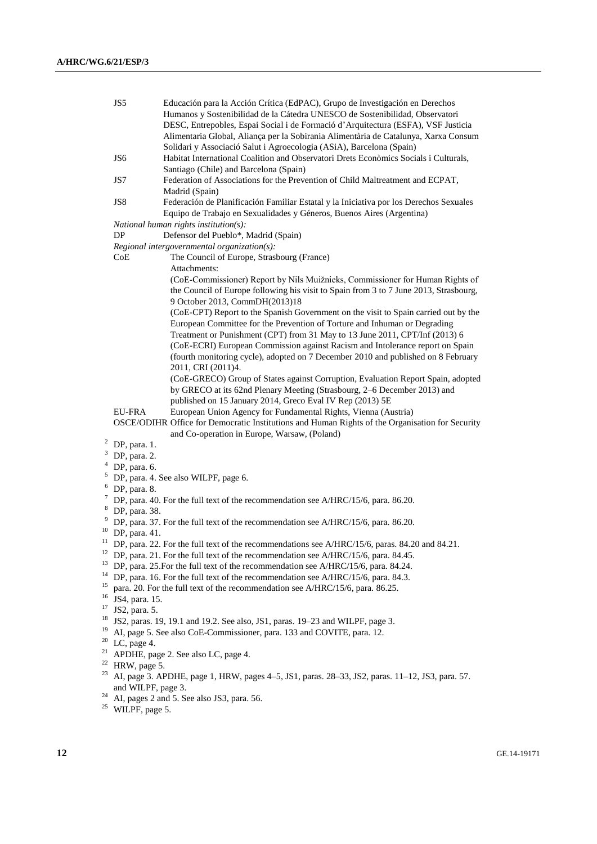|                                             | JS5                                                                                             | Educación para la Acción Crítica (EdPAC), Grupo de Investigación en Derechos                    |  |  |
|---------------------------------------------|-------------------------------------------------------------------------------------------------|-------------------------------------------------------------------------------------------------|--|--|
|                                             |                                                                                                 | Humanos y Sostenibilidad de la Cátedra UNESCO de Sostenibilidad, Observatori                    |  |  |
|                                             |                                                                                                 | DESC, Entrepobles, Espai Social i de Formació d'Arquitectura (ESFA), VSF Justicia               |  |  |
|                                             |                                                                                                 | Alimentaria Global, Aliança per la Sobirania Alimentària de Catalunya, Xarxa Consum             |  |  |
|                                             |                                                                                                 | Solidari y Associació Salut i Agroecologia (ASiA), Barcelona (Spain)                            |  |  |
|                                             | JS <sub>6</sub>                                                                                 | Habitat International Coalition and Observatori Drets Econòmics Socials i Culturals,            |  |  |
|                                             |                                                                                                 | Santiago (Chile) and Barcelona (Spain)                                                          |  |  |
|                                             | JS7                                                                                             | Federation of Associations for the Prevention of Child Maltreatment and ECPAT,                  |  |  |
|                                             |                                                                                                 | Madrid (Spain)                                                                                  |  |  |
|                                             | JS8                                                                                             | Federación de Planificación Familiar Estatal y la Iniciativa por los Derechos Sexuales          |  |  |
|                                             |                                                                                                 | Equipo de Trabajo en Sexualidades y Géneros, Buenos Aires (Argentina)                           |  |  |
|                                             |                                                                                                 | National human rights institution(s):                                                           |  |  |
|                                             | DP                                                                                              | Defensor del Pueblo*, Madrid (Spain)                                                            |  |  |
| Regional intergovernmental organization(s): |                                                                                                 |                                                                                                 |  |  |
|                                             | CoE                                                                                             | The Council of Europe, Strasbourg (France)                                                      |  |  |
|                                             |                                                                                                 | Attachments:                                                                                    |  |  |
|                                             |                                                                                                 | (CoE-Commissioner) Report by Nils Muižnieks, Commissioner for Human Rights of                   |  |  |
|                                             |                                                                                                 | the Council of Europe following his visit to Spain from 3 to 7 June 2013, Strasbourg,           |  |  |
|                                             |                                                                                                 | 9 October 2013, CommDH(2013)18                                                                  |  |  |
|                                             |                                                                                                 | (CoE-CPT) Report to the Spanish Government on the visit to Spain carried out by the             |  |  |
|                                             |                                                                                                 | European Committee for the Prevention of Torture and Inhuman or Degrading                       |  |  |
|                                             |                                                                                                 | Treatment or Punishment (CPT) from 31 May to 13 June 2011, CPT/Inf (2013) 6                     |  |  |
|                                             |                                                                                                 | (CoE-ECRI) European Commission against Racism and Intolerance report on Spain                   |  |  |
|                                             |                                                                                                 | (fourth monitoring cycle), adopted on 7 December 2010 and published on 8 February               |  |  |
|                                             |                                                                                                 | 2011, CRI (2011)4.                                                                              |  |  |
|                                             |                                                                                                 | (CoE-GRECO) Group of States against Corruption, Evaluation Report Spain, adopted                |  |  |
|                                             |                                                                                                 | by GRECO at its 62nd Plenary Meeting (Strasbourg, 2-6 December 2013) and                        |  |  |
|                                             |                                                                                                 | published on 15 January 2014, Greco Eval IV Rep (2013) 5E                                       |  |  |
|                                             | EU-FRA                                                                                          | European Union Agency for Fundamental Rights, Vienna (Austria)                                  |  |  |
|                                             |                                                                                                 | OSCE/ODIHR Office for Democratic Institutions and Human Rights of the Organisation for Security |  |  |
|                                             |                                                                                                 | and Co-operation in Europe, Warsaw, (Poland)                                                    |  |  |
|                                             | $2$ DP, para. 1.                                                                                |                                                                                                 |  |  |
|                                             | $3$ DP, para. 2.                                                                                |                                                                                                 |  |  |
| $\overline{\mathcal{L}}$                    | DP, para. 6.                                                                                    |                                                                                                 |  |  |
| 5                                           | DP, para. 4. See also WILPF, page 6.                                                            |                                                                                                 |  |  |
| 6<br>$7\phantom{.0}$                        | DP, para. 8.                                                                                    |                                                                                                 |  |  |
|                                             | DP, para. 40. For the full text of the recommendation see A/HRC/15/6, para. 86.20.              |                                                                                                 |  |  |
|                                             | <sup>8</sup> DP, para. 38.                                                                      |                                                                                                 |  |  |
| 10                                          | <sup>9</sup> DP, para. 37. For the full text of the recommendation see A/HRC/15/6, para. 86.20. |                                                                                                 |  |  |
| 11                                          | DP, para. 41.                                                                                   |                                                                                                 |  |  |
|                                             |                                                                                                 | DP, para. 22. For the full text of the recommendations see A/HRC/15/6, paras. 84.20 and 84.21.  |  |  |
| 13                                          |                                                                                                 | $12$ DP, para. 21. For the full text of the recommendation see A/HRC/15/6, para. 84.45.         |  |  |
| 14                                          |                                                                                                 | DP, para. 25. For the full text of the recommendation see A/HRC/15/6, para. 84.24.              |  |  |
| 15                                          |                                                                                                 | DP, para. 16. For the full text of the recommendation see A/HRC/15/6, para. 84.3.               |  |  |
| 16                                          | para. 20. For the full text of the recommendation see A/HRC/15/6, para. 86.25.                  |                                                                                                 |  |  |
| 17                                          | JS4, para. 15.                                                                                  |                                                                                                 |  |  |
| 18                                          | JS2, para. 5.                                                                                   |                                                                                                 |  |  |
| 19                                          |                                                                                                 | JS2, paras. 19, 19.1 and 19.2. See also, JS1, paras. 19–23 and WILPF, page 3.                   |  |  |
| 20                                          | AI, page 5. See also CoE-Commissioner, para. 133 and COVITE, para. 12.                          |                                                                                                 |  |  |
| 21                                          | LC, page 4.                                                                                     |                                                                                                 |  |  |
|                                             |                                                                                                 | APDHE, page 2. See also LC, page 4.                                                             |  |  |
| 23                                          | <sup>22</sup> HRW, page 5.                                                                      |                                                                                                 |  |  |
|                                             |                                                                                                 | AI, page 3. APDHE, page 1, HRW, pages 4-5, JS1, paras. 28-33, JS2, paras. 11-12, JS3, para. 57. |  |  |
| 24                                          | and WILPF, page 3.                                                                              |                                                                                                 |  |  |
| 25                                          |                                                                                                 | AI, pages 2 and 5. See also JS3, para. 56.                                                      |  |  |
|                                             | WILPF, page 5.                                                                                  |                                                                                                 |  |  |
|                                             |                                                                                                 |                                                                                                 |  |  |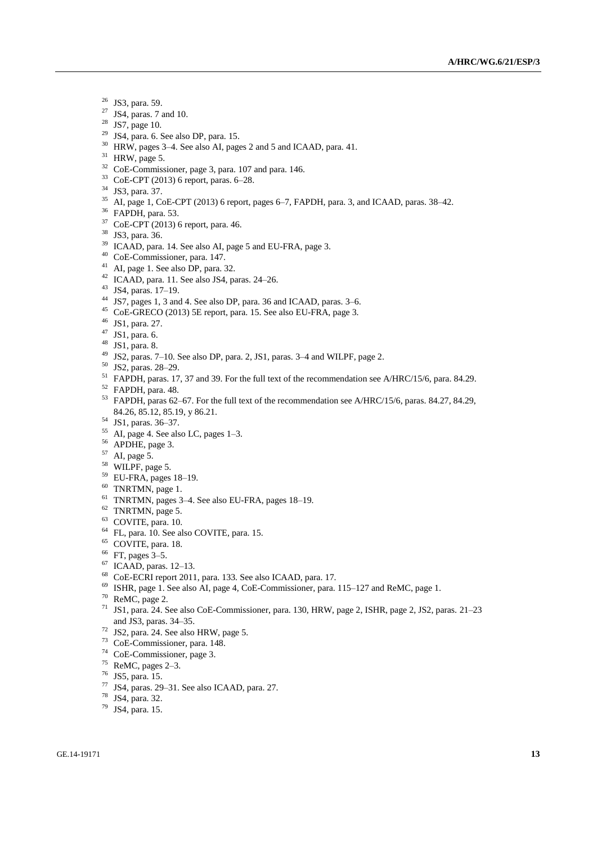- JS3, para. 59.
- JS4, paras. 7 and 10.
- JS7, page 10.
- JS4, para. 6. See also DP, para. 15.
- HRW, pages 3–4. See also AI, pages 2 and 5 and ICAAD, para. 41.
- HRW, page 5.
- CoE-Commissioner, page 3, para. 107 and para. 146.
- CoE-CPT (2013) 6 report, paras. 6–28.
- JS3, para. 37.
- AI, page 1, CoE-CPT (2013) 6 report, pages 6–7, FAPDH, para. 3, and ICAAD, paras. 38–42.
- FAPDH, para. 53.
- CoE-CPT (2013) 6 report, para. 46.
- JS3, para. 36.
- <sup>39</sup> ICAAD, para. 14. See also AI, page 5 and EU-FRA, page 3.
- CoE-Commissioner, para. 147.
- AI, page 1. See also DP, para. 32.
- ICAAD, para. 11. See also JS4, paras. 24–26.
- JS4, paras. 17–19.
- JS7, pages 1, 3 and 4. See also DP, para. 36 and ICAAD, paras. 3–6.
- CoE-GRECO (2013) 5E report, para. 15. See also EU-FRA, page 3.
- JS1, para. 27.
- JS1, para. 6.
- JS1, para. 8.
- JS2, paras. 7–10. See also DP, para. 2, JS1, paras. 3–4 and WILPF, page 2.
- JS2, paras. 28–29.
- <sup>51</sup> FAPDH, paras. 17, 37 and 39. For the full text of the recommendation see A/HRC/15/6, para. 84.29.
- FAPDH, para. 48.
- FAPDH, paras 62–67. For the full text of the recommendation see A/HRC/15/6, paras. 84.27, 84.29, 84.26, 85.12, 85.19, y 86.21.
- JS1, paras. 36–37.
- AI, page 4. See also LC, pages 1–3.
- APDHE, page 3.
- AI, page 5.
- WILPF, page 5.
- EU-FRA, pages 18–19.
- TNRTMN, page 1.
- TNRTMN, pages 3–4. See also EU-FRA, pages 18–19.
- TNRTMN, page 5.
- COVITE, para. 10.
- FL, para. 10. See also COVITE, para. 15.
- COVITE, para. 18.
- FT, pages 3–5.
- ICAAD, paras. 12-13.
- CoE-ECRI report 2011, para. 133. See also ICAAD, para. 17.
- ISHR, page 1. See also AI, page 4, CoE-Commissioner, para. 115–127 and ReMC, page 1.
- ReMC, page 2.
- JS1, para. 24. See also CoE-Commissioner, para. 130, HRW, page 2, ISHR, page 2, JS2, paras. 21–23 and JS3, paras. 34–35.
- JS2, para. 24. See also HRW, page 5.
- CoE-Commissioner, para. 148.
- CoE-Commissioner, page 3.
- ReMC, pages 2–3.
- JS5, para. 15.
- JS4, paras. 29–31. See also ICAAD, para. 27.
- JS4, para. 32.
- JS4, para. 15.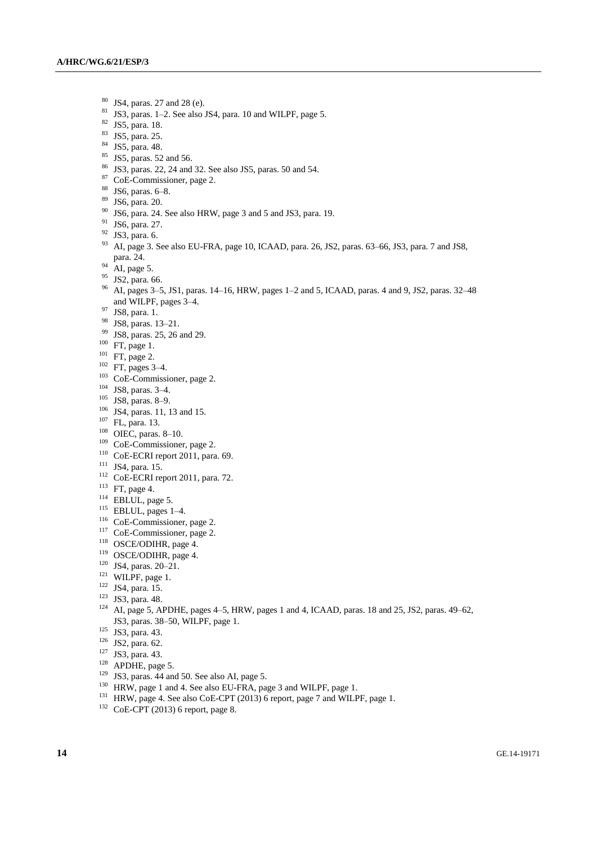- $^{80}$  JS4, paras. 27 and 28 (e).<br> $^{81}$  JS3, paras. 1.2. See also
- <sup>81</sup> JS3, paras. 1–2. See also JS4, para. 10 and WILPF, page 5.
- <sup>82</sup> JS5, para. 18.
- <sup>83</sup> JS5, para. 25.
- <sup>84</sup> JS5, para. 48.
- <sup>85</sup> JS5, paras. 52 and 56.
- <sup>86</sup> JS3, paras. 22, 24 and 32. See also JS5, paras. 50 and 54.
- <sup>87</sup> CoE-Commissioner, page 2.
- <sup>88</sup> JS6, paras. 6–8.
- <sup>89</sup> JS6, para. 20.
- <sup>90</sup> JS6, para. 24. See also HRW, page 3 and 5 and JS3, para. 19.
- <sup>91</sup> JS6, para. 27.
- <sup>92</sup> JS3, para. 6.
- <sup>93</sup> AI, page 3. See also EU-FRA, page 10, ICAAD, para. 26, JS2, paras. 63–66, JS3, para. 7 and JS8, para. 24.
- $^{94}$  AI, page 5.
- <sup>95</sup> JS2, para. 66.
- <sup>96</sup> AI, pages 3–5, JS1, paras. 14–16, HRW, pages 1–2 and 5, ICAAD, paras. 4 and 9, JS2, paras. 32–48 and WILPF, pages 3–4.
- <sup>97</sup> JS8, para. 1.
- <sup>98</sup> JS8, paras. 13–21.
- <sup>99</sup> JS8, paras. 25, 26 and 29.
- <sup>100</sup> FT, page 1.
- <sup>101</sup> FT, page 2.
- $102$  FT, pages 3–4.
- <sup>103</sup> CoE-Commissioner, page 2.
- <sup>104</sup> JS8, paras. 3–4.
- <sup>105</sup> JS8, paras. 8–9.
- <sup>106</sup> JS4, paras. 11, 13 and 15.
- $^{107}$  FL, para. 13.
- <sup>108</sup> OIEC, paras. 8–10.
- <sup>109</sup> CoE-Commissioner, page 2.
- <sup>110</sup> CoE-ECRI report 2011, para. 69.
- <sup>111</sup> JS4, para. 15.
- <sup>112</sup> CoE-ECRI report 2011, para. 72.
- <sup>113</sup> FT, page 4.
- <sup>114</sup> EBLUL, page 5.
- <sup>115</sup> EBLUL, pages 1–4.
- <sup>116</sup> CoE-Commissioner, page 2.
- <sup>117</sup> CoE-Commissioner, page 2.
- <sup>118</sup> OSCE/ODIHR, page 4.
- <sup>119</sup> OSCE/ODIHR, page 4.
- <sup>120</sup> JS4, paras. 20–21.
- $121$  WILPF, page 1.
- <sup>122</sup> JS4, para. 15.
- <sup>123</sup> JS3, para. 48.
- <sup>124</sup> AI, page 5, APDHE, pages 4–5, HRW, pages 1 and 4, ICAAD, paras. 18 and 25, JS2, paras. 49–62, JS3, paras. 38–50, WILPF, page 1.
- <sup>125</sup> JS3, para. 43.
- <sup>126</sup> JS2, para. 62.
- <sup>127</sup> JS3, para. 43.
- $128$  APDHE, page 5.
- $129$  JS3, paras. 44 and 50. See also AI, page 5.
- <sup>130</sup> HRW, page 1 and 4. See also EU-FRA, page 3 and WILPF, page 1.
- <sup>131</sup> HRW, page 4. See also CoE-CPT (2013) 6 report, page 7 and WILPF, page 1.
- $132$  CoE-CPT (2013) 6 report, page 8.